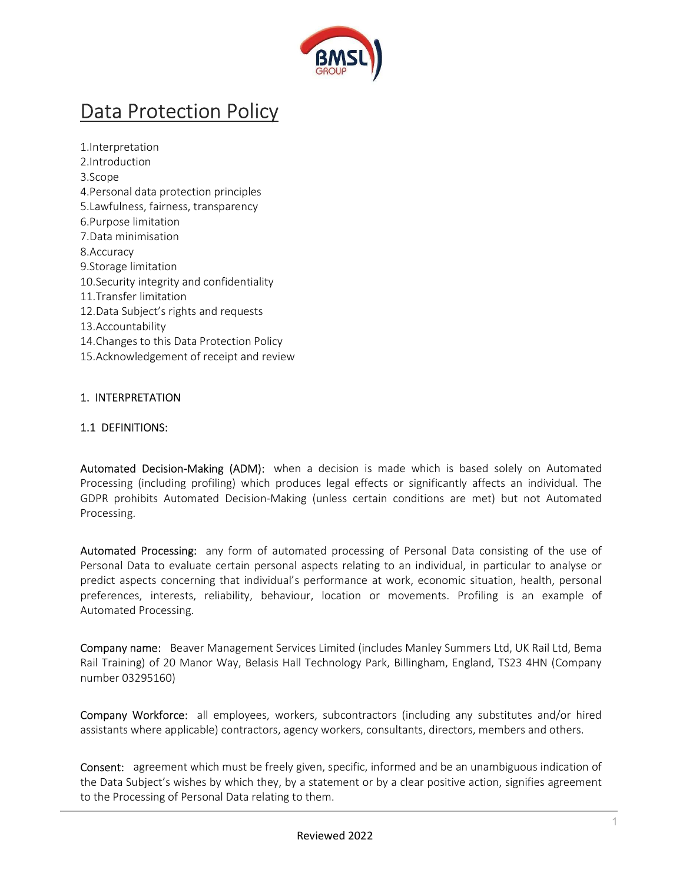

# Data Protection Policy

1.Interpretation 2.Introduction 3.Scope 4.Personal data protection principles 5.Lawfulness, fairness, transparency 6.Purpose limitation 7.Data minimisation 8.Accuracy 9.Storage limitation 10.Security integrity and confidentiality 11.Transfer limitation 12.Data Subject's rights and requests 13.Accountability 14.Changes to this Data Protection Policy 15.Acknowledgement of receipt and review

#### 1. INTERPRETATION

#### 1.1 DEFINITIONS:

Automated Decision-Making (ADM): when a decision is made which is based solely on Automated Processing (including profiling) which produces legal effects or significantly affects an individual. The GDPR prohibits Automated Decision-Making (unless certain conditions are met) but not Automated Processing.

Automated Processing: any form of automated processing of Personal Data consisting of the use of Personal Data to evaluate certain personal aspects relating to an individual, in particular to analyse or predict aspects concerning that individual's performance at work, economic situation, health, personal preferences, interests, reliability, behaviour, location or movements. Profiling is an example of Automated Processing.

Company name: Beaver Management Services Limited (includes Manley Summers Ltd, UK Rail Ltd, Bema Rail Training) of 20 Manor Way, Belasis Hall Technology Park, Billingham, England, TS23 4HN (Company number 03295160)

Company Workforce: all employees, workers, subcontractors (including any substitutes and/or hired assistants where applicable) contractors, agency workers, consultants, directors, members and others.

Consent: agreement which must be freely given, specific, informed and be an unambiguous indication of the Data Subject's wishes by which they, by a statement or by a clear positive action, signifies agreement to the Processing of Personal Data relating to them.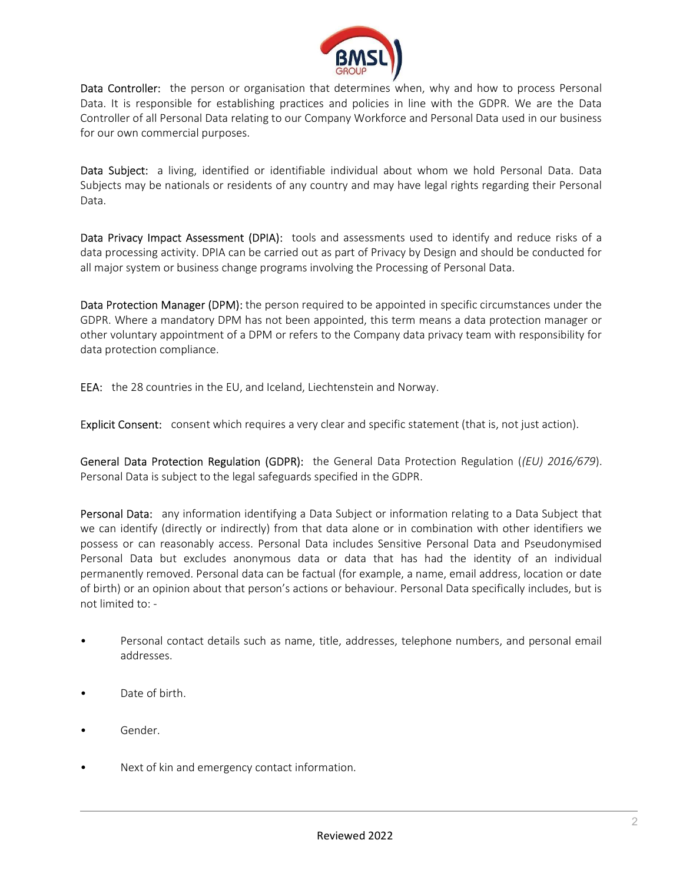

Data Controller: the person or organisation that determines when, why and how to process Personal Data. It is responsible for establishing practices and policies in line with the GDPR. We are the Data Controller of all Personal Data relating to our Company Workforce and Personal Data used in our business for our own commercial purposes.

Data Subject: a living, identified or identifiable individual about whom we hold Personal Data. Data Subjects may be nationals or residents of any country and may have legal rights regarding their Personal Data.

Data Privacy Impact Assessment (DPIA): tools and assessments used to identify and reduce risks of a data processing activity. DPIA can be carried out as part of Privacy by Design and should be conducted for all major system or business change programs involving the Processing of Personal Data.

Data Protection Manager (DPM): the person required to be appointed in specific circumstances under the GDPR. Where a mandatory DPM has not been appointed, this term means a data protection manager or other voluntary appointment of a DPM or refers to the Company data privacy team with responsibility for data protection compliance.

EEA: the 28 countries in the EU, and Iceland, Liechtenstein and Norway.

Explicit Consent: consent which requires a very clear and specific statement (that is, not just action).

General Data Protection Regulation (GDPR): the General Data Protection Regulation ((EU) 2016/679). Personal Data is subject to the legal safeguards specified in the GDPR.

Personal Data: any information identifying a Data Subject or information relating to a Data Subject that we can identify (directly or indirectly) from that data alone or in combination with other identifiers we possess or can reasonably access. Personal Data includes Sensitive Personal Data and Pseudonymised Personal Data but excludes anonymous data or data that has had the identity of an individual permanently removed. Personal data can be factual (for example, a name, email address, location or date of birth) or an opinion about that person's actions or behaviour. Personal Data specifically includes, but is not limited to: -

- Personal contact details such as name, title, addresses, telephone numbers, and personal email addresses.
- Date of birth.
- Gender.
- Next of kin and emergency contact information.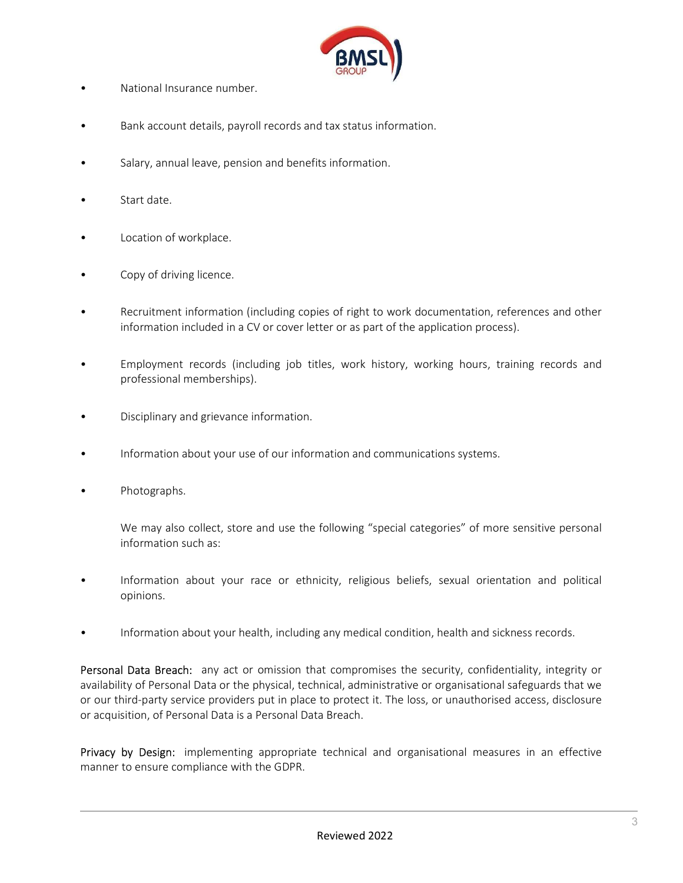

- National Insurance number.
- Bank account details, payroll records and tax status information.
- Salary, annual leave, pension and benefits information.
- Start date.
- Location of workplace.
- Copy of driving licence.
- Recruitment information (including copies of right to work documentation, references and other information included in a CV or cover letter or as part of the application process).
- Employment records (including job titles, work history, working hours, training records and professional memberships).
- Disciplinary and grievance information.
- Information about your use of our information and communications systems.
- Photographs.

We may also collect, store and use the following "special categories" of more sensitive personal information such as:

- Information about your race or ethnicity, religious beliefs, sexual orientation and political opinions.
- Information about your health, including any medical condition, health and sickness records.

Personal Data Breach: any act or omission that compromises the security, confidentiality, integrity or availability of Personal Data or the physical, technical, administrative or organisational safeguards that we or our third-party service providers put in place to protect it. The loss, or unauthorised access, disclosure or acquisition, of Personal Data is a Personal Data Breach.

Privacy by Design: implementing appropriate technical and organisational measures in an effective manner to ensure compliance with the GDPR.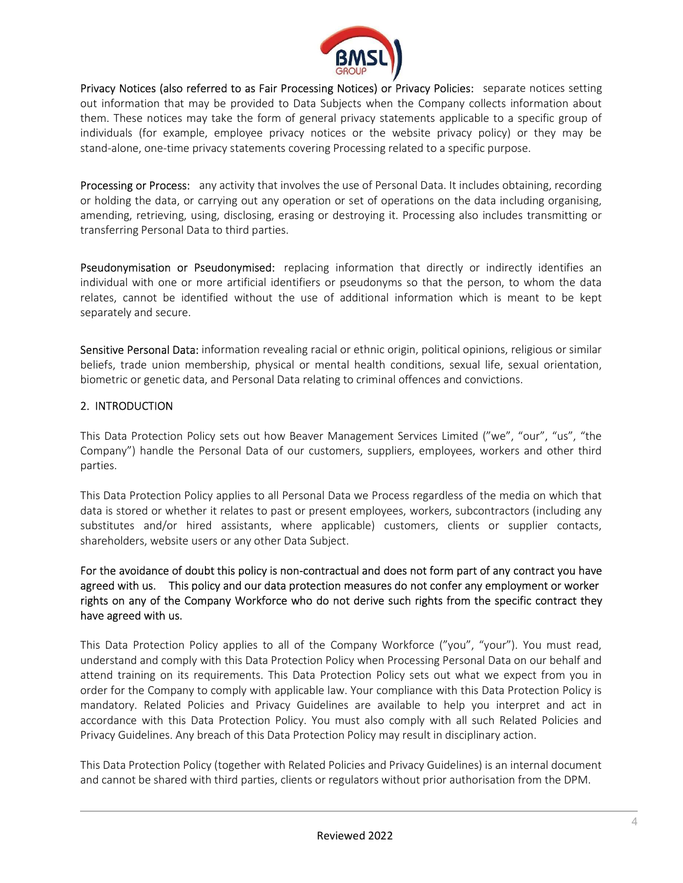

Privacy Notices (also referred to as Fair Processing Notices) or Privacy Policies: separate notices setting out information that may be provided to Data Subjects when the Company collects information about them. These notices may take the form of general privacy statements applicable to a specific group of individuals (for example, employee privacy notices or the website privacy policy) or they may be stand-alone, one-time privacy statements covering Processing related to a specific purpose.

Processing or Process: any activity that involves the use of Personal Data. It includes obtaining, recording or holding the data, or carrying out any operation or set of operations on the data including organising, amending, retrieving, using, disclosing, erasing or destroying it. Processing also includes transmitting or transferring Personal Data to third parties.

**Pseudonymisation or Pseudonymised:** replacing information that directly or indirectly identifies an individual with one or more artificial identifiers or pseudonyms so that the person, to whom the data relates, cannot be identified without the use of additional information which is meant to be kept separately and secure.

Sensitive Personal Data: information revealing racial or ethnic origin, political opinions, religious or similar beliefs, trade union membership, physical or mental health conditions, sexual life, sexual orientation, biometric or genetic data, and Personal Data relating to criminal offences and convictions.

# 2. INTRODUCTION

This Data Protection Policy sets out how Beaver Management Services Limited ("we", "our", "us", "the Company") handle the Personal Data of our customers, suppliers, employees, workers and other third parties.

This Data Protection Policy applies to all Personal Data we Process regardless of the media on which that data is stored or whether it relates to past or present employees, workers, subcontractors (including any substitutes and/or hired assistants, where applicable) customers, clients or supplier contacts, shareholders, website users or any other Data Subject.

For the avoidance of doubt this policy is non-contractual and does not form part of any contract you have agreed with us. This policy and our data protection measures do not confer any employment or worker rights on any of the Company Workforce who do not derive such rights from the specific contract they have agreed with us.

This Data Protection Policy applies to all of the Company Workforce ("you", "your"). You must read, understand and comply with this Data Protection Policy when Processing Personal Data on our behalf and attend training on its requirements. This Data Protection Policy sets out what we expect from you in order for the Company to comply with applicable law. Your compliance with this Data Protection Policy is mandatory. Related Policies and Privacy Guidelines are available to help you interpret and act in accordance with this Data Protection Policy. You must also comply with all such Related Policies and Privacy Guidelines. Any breach of this Data Protection Policy may result in disciplinary action.

This Data Protection Policy (together with Related Policies and Privacy Guidelines) is an internal document and cannot be shared with third parties, clients or regulators without prior authorisation from the DPM.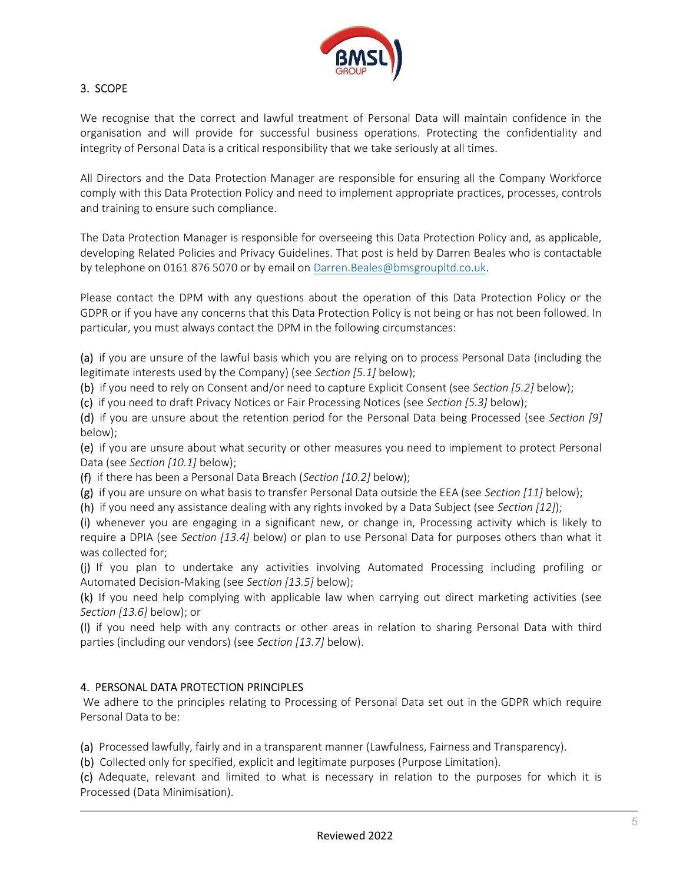

# 3. SCOPE

We recognise that the correct and lawful treatment of Personal Data will maintain confidence in the organisation and will provide for successful business operations. Protecting the confidentiality and integrity of Personal Data is a critical responsibility that we take seriously at all times.

All Directors and the Data Protection Manager are responsible for ensuring all the Company Workforce comply with this Data Protection Policy and need to implement appropriate practices, processes, controls and training to ensure such compliance.

The Data Protection Manager is responsible for overseeing this Data Protection Policy and, as applicable, developing Related Policies and Privacy Guidelines. That post is held by Darren Beales who is contactable by telephone on 0161 876 5070 or by email on Darren.Beales@bmsgroupltd.co.uk.

Please contact the DPM with any questions about the operation of this Data Protection Policy or the GDPR or if you have any concerns that this Data Protection Policy is not being or has not been followed. In particular, you must always contact the DPM in the following circumstances:

(a) if you are unsure of the lawful basis which you are relying on to process Personal Data (including the legitimate interests used by the Company) (see Section [5.1] below);

(b) if you need to rely on Consent and/or need to capture Explicit Consent (see Section [5.2] below);

(c) if you need to draft Privacy Notices or Fair Processing Notices (see Section [5.3] below);

(d) if you are unsure about the retention period for the Personal Data being Processed (see Section [9] below);

(e) if you are unsure about what security or other measures you need to implement to protect Personal Data (see Section [10.1] below);

(f) if there has been a Personal Data Breach (Section [10.2] below);

(g) if you are unsure on what basis to transfer Personal Data outside the EEA (see Section [11] below);

(h) if you need any assistance dealing with any rights invoked by a Data Subject (see Section  $[12]$ );

(i) whenever you are engaging in a significant new, or change in, Processing activity which is likely to require a DPIA (see Section [13.4] below) or plan to use Personal Data for purposes others than what it was collected for;

(j) If you plan to undertake any activities involving Automated Processing including profiling or Automated Decision-Making (see Section [13.5] below);

(k) If you need help complying with applicable law when carrying out direct marketing activities (see Section [13.6] below); or

(l) if you need help with any contracts or other areas in relation to sharing Personal Data with third parties (including our vendors) (see Section [13.7] below).

# 4. PERSONAL DATA PROTECTION PRINCIPLES

 We adhere to the principles relating to Processing of Personal Data set out in the GDPR which require Personal Data to be:

(a) Processed lawfully, fairly and in a transparent manner (Lawfulness, Fairness and Transparency).

(b) Collected only for specified, explicit and legitimate purposes (Purpose Limitation).

(c) Adequate, relevant and limited to what is necessary in relation to the purposes for which it is Processed (Data Minimisation).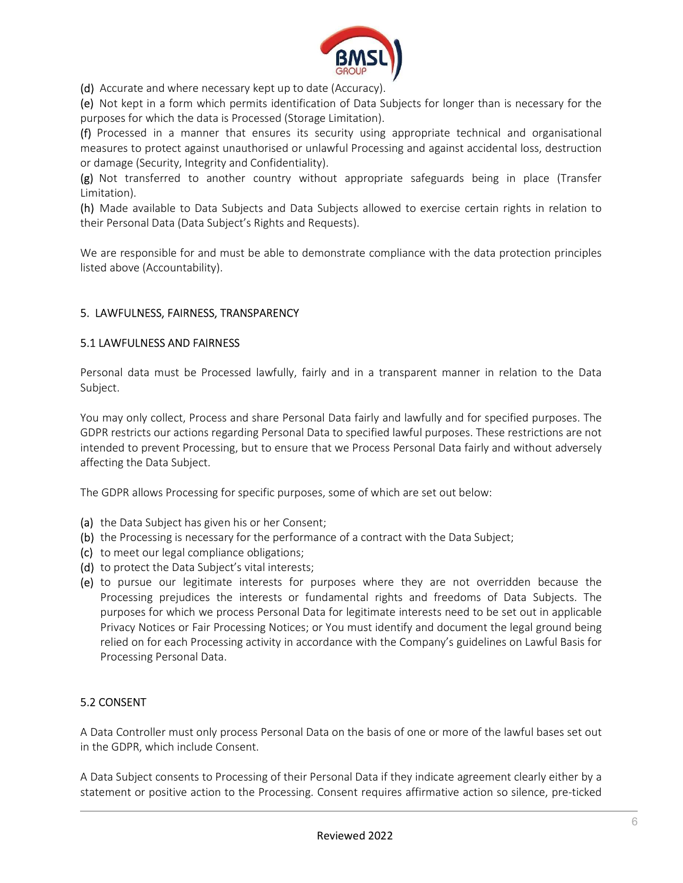

(d) Accurate and where necessary kept up to date (Accuracy).

(e) Not kept in a form which permits identification of Data Subjects for longer than is necessary for the purposes for which the data is Processed (Storage Limitation).

(f) Processed in a manner that ensures its security using appropriate technical and organisational measures to protect against unauthorised or unlawful Processing and against accidental loss, destruction or damage (Security, Integrity and Confidentiality).

(g) Not transferred to another country without appropriate safeguards being in place (Transfer Limitation).

(h) Made available to Data Subjects and Data Subjects allowed to exercise certain rights in relation to their Personal Data (Data Subject's Rights and Requests).

We are responsible for and must be able to demonstrate compliance with the data protection principles listed above (Accountability).

# 5. LAWFULNESS, FAIRNESS, TRANSPARENCY

# 5.1 LAWFULNESS AND FAIRNESS

Personal data must be Processed lawfully, fairly and in a transparent manner in relation to the Data Subject.

You may only collect, Process and share Personal Data fairly and lawfully and for specified purposes. The GDPR restricts our actions regarding Personal Data to specified lawful purposes. These restrictions are not intended to prevent Processing, but to ensure that we Process Personal Data fairly and without adversely affecting the Data Subject.

The GDPR allows Processing for specific purposes, some of which are set out below:

- (a) the Data Subject has given his or her Consent;
- (b) the Processing is necessary for the performance of a contract with the Data Subject;
- (c) to meet our legal compliance obligations;
- (d) to protect the Data Subject's vital interests;
- (e) to pursue our legitimate interests for purposes where they are not overridden because the Processing prejudices the interests or fundamental rights and freedoms of Data Subjects. The purposes for which we process Personal Data for legitimate interests need to be set out in applicable Privacy Notices or Fair Processing Notices; or You must identify and document the legal ground being relied on for each Processing activity in accordance with the Company's guidelines on Lawful Basis for Processing Personal Data.

# 5.2 CONSENT

A Data Controller must only process Personal Data on the basis of one or more of the lawful bases set out in the GDPR, which include Consent.

A Data Subject consents to Processing of their Personal Data if they indicate agreement clearly either by a statement or positive action to the Processing. Consent requires affirmative action so silence, pre-ticked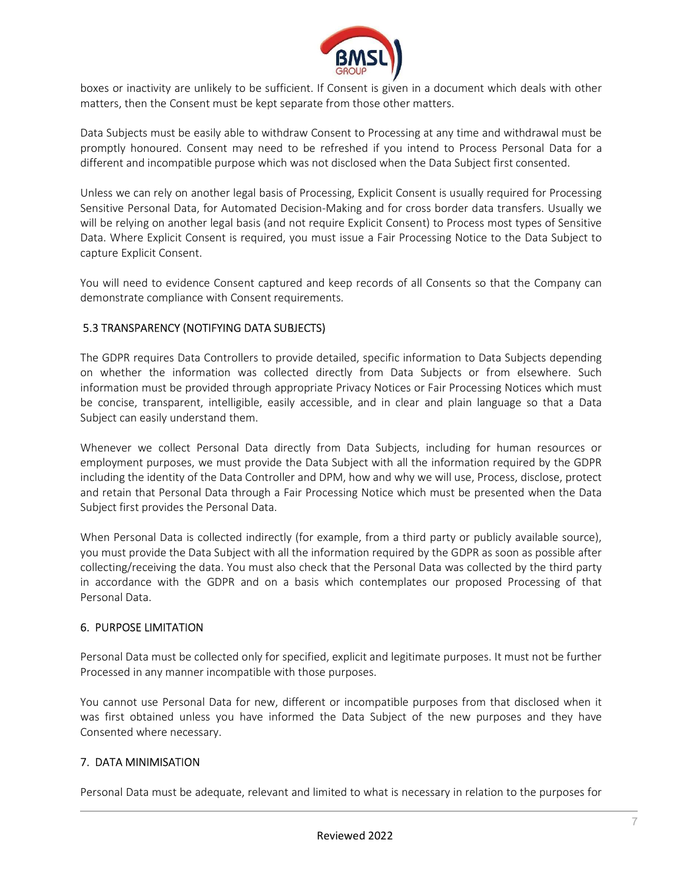

boxes or inactivity are unlikely to be sufficient. If Consent is given in a document which deals with other matters, then the Consent must be kept separate from those other matters.

Data Subjects must be easily able to withdraw Consent to Processing at any time and withdrawal must be promptly honoured. Consent may need to be refreshed if you intend to Process Personal Data for a different and incompatible purpose which was not disclosed when the Data Subject first consented.

Unless we can rely on another legal basis of Processing, Explicit Consent is usually required for Processing Sensitive Personal Data, for Automated Decision-Making and for cross border data transfers. Usually we will be relying on another legal basis (and not require Explicit Consent) to Process most types of Sensitive Data. Where Explicit Consent is required, you must issue a Fair Processing Notice to the Data Subject to capture Explicit Consent.

You will need to evidence Consent captured and keep records of all Consents so that the Company can demonstrate compliance with Consent requirements.

# 5.3 TRANSPARENCY (NOTIFYING DATA SUBJECTS)

The GDPR requires Data Controllers to provide detailed, specific information to Data Subjects depending on whether the information was collected directly from Data Subjects or from elsewhere. Such information must be provided through appropriate Privacy Notices or Fair Processing Notices which must be concise, transparent, intelligible, easily accessible, and in clear and plain language so that a Data Subject can easily understand them.

Whenever we collect Personal Data directly from Data Subjects, including for human resources or employment purposes, we must provide the Data Subject with all the information required by the GDPR including the identity of the Data Controller and DPM, how and why we will use, Process, disclose, protect and retain that Personal Data through a Fair Processing Notice which must be presented when the Data Subject first provides the Personal Data.

When Personal Data is collected indirectly (for example, from a third party or publicly available source), you must provide the Data Subject with all the information required by the GDPR as soon as possible after collecting/receiving the data. You must also check that the Personal Data was collected by the third party in accordance with the GDPR and on a basis which contemplates our proposed Processing of that Personal Data.

#### 6. PURPOSE LIMITATION

Personal Data must be collected only for specified, explicit and legitimate purposes. It must not be further Processed in any manner incompatible with those purposes.

You cannot use Personal Data for new, different or incompatible purposes from that disclosed when it was first obtained unless you have informed the Data Subject of the new purposes and they have Consented where necessary.

# 7. DATA MINIMISATION

Personal Data must be adequate, relevant and limited to what is necessary in relation to the purposes for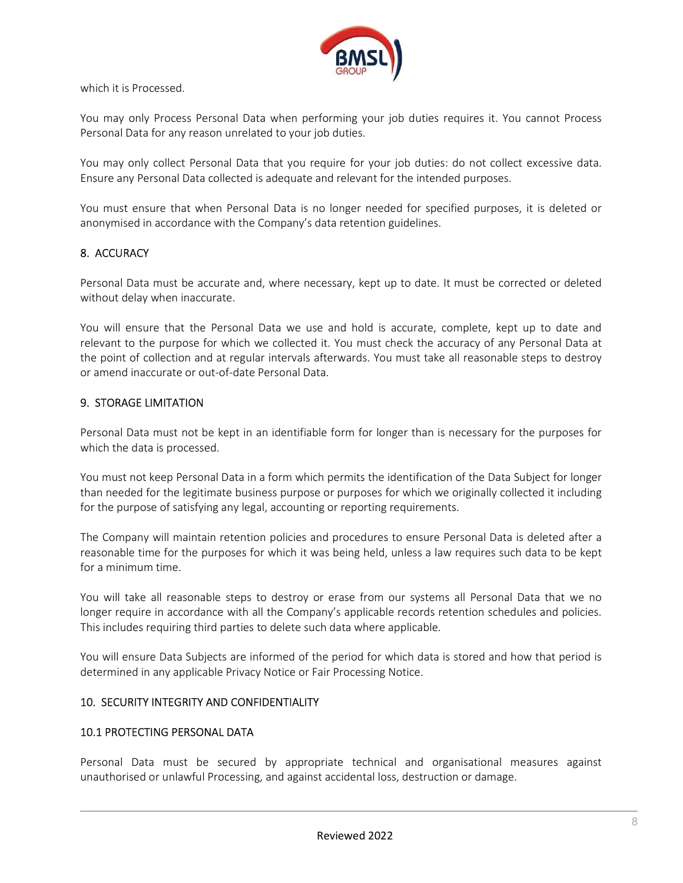

which it is Processed.

You may only Process Personal Data when performing your job duties requires it. You cannot Process Personal Data for any reason unrelated to your job duties.

You may only collect Personal Data that you require for your job duties: do not collect excessive data. Ensure any Personal Data collected is adequate and relevant for the intended purposes.

You must ensure that when Personal Data is no longer needed for specified purposes, it is deleted or anonymised in accordance with the Company's data retention guidelines.

#### 8. ACCURACY

Personal Data must be accurate and, where necessary, kept up to date. It must be corrected or deleted without delay when inaccurate.

You will ensure that the Personal Data we use and hold is accurate, complete, kept up to date and relevant to the purpose for which we collected it. You must check the accuracy of any Personal Data at the point of collection and at regular intervals afterwards. You must take all reasonable steps to destroy or amend inaccurate or out-of-date Personal Data.

#### 9. STORAGE LIMITATION

Personal Data must not be kept in an identifiable form for longer than is necessary for the purposes for which the data is processed.

You must not keep Personal Data in a form which permits the identification of the Data Subject for longer than needed for the legitimate business purpose or purposes for which we originally collected it including for the purpose of satisfying any legal, accounting or reporting requirements.

The Company will maintain retention policies and procedures to ensure Personal Data is deleted after a reasonable time for the purposes for which it was being held, unless a law requires such data to be kept for a minimum time.

You will take all reasonable steps to destroy or erase from our systems all Personal Data that we no longer require in accordance with all the Company's applicable records retention schedules and policies. This includes requiring third parties to delete such data where applicable.

You will ensure Data Subjects are informed of the period for which data is stored and how that period is determined in any applicable Privacy Notice or Fair Processing Notice.

#### 10. SECURITY INTEGRITY AND CONFIDENTIALITY

### 10.1 PROTECTING PERSONAL DATA

Personal Data must be secured by appropriate technical and organisational measures against unauthorised or unlawful Processing, and against accidental loss, destruction or damage.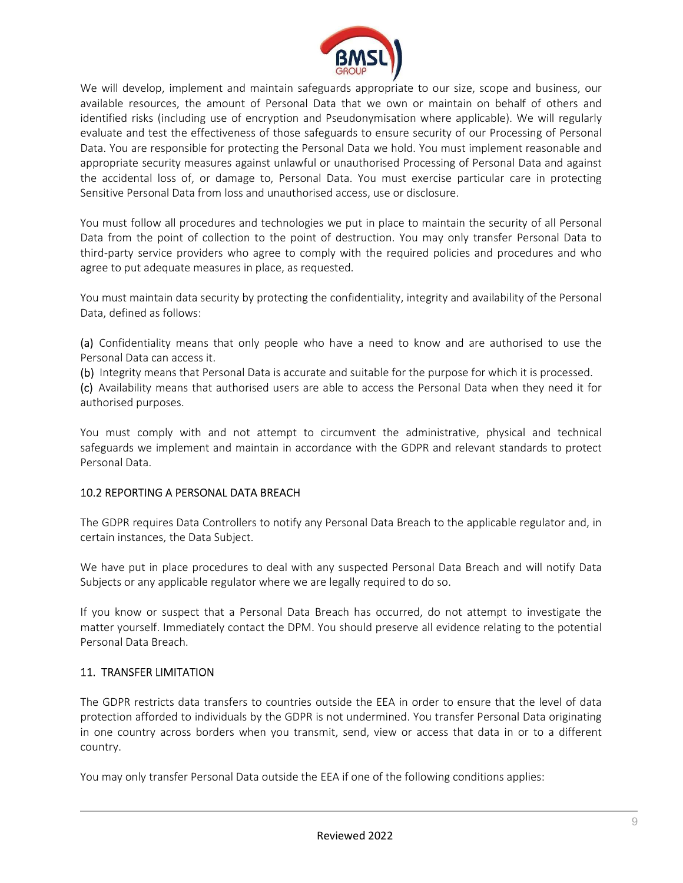

We will develop, implement and maintain safeguards appropriate to our size, scope and business, our available resources, the amount of Personal Data that we own or maintain on behalf of others and identified risks (including use of encryption and Pseudonymisation where applicable). We will regularly evaluate and test the effectiveness of those safeguards to ensure security of our Processing of Personal Data. You are responsible for protecting the Personal Data we hold. You must implement reasonable and appropriate security measures against unlawful or unauthorised Processing of Personal Data and against the accidental loss of, or damage to, Personal Data. You must exercise particular care in protecting Sensitive Personal Data from loss and unauthorised access, use or disclosure.

You must follow all procedures and technologies we put in place to maintain the security of all Personal Data from the point of collection to the point of destruction. You may only transfer Personal Data to third-party service providers who agree to comply with the required policies and procedures and who agree to put adequate measures in place, as requested.

You must maintain data security by protecting the confidentiality, integrity and availability of the Personal Data, defined as follows:

(a) Confidentiality means that only people who have a need to know and are authorised to use the Personal Data can access it.

(b) Integrity means that Personal Data is accurate and suitable for the purpose for which it is processed.

(c) Availability means that authorised users are able to access the Personal Data when they need it for authorised purposes.

You must comply with and not attempt to circumvent the administrative, physical and technical safeguards we implement and maintain in accordance with the GDPR and relevant standards to protect Personal Data.

# 10.2 REPORTING A PERSONAL DATA BREACH

The GDPR requires Data Controllers to notify any Personal Data Breach to the applicable regulator and, in certain instances, the Data Subject.

We have put in place procedures to deal with any suspected Personal Data Breach and will notify Data Subjects or any applicable regulator where we are legally required to do so.

If you know or suspect that a Personal Data Breach has occurred, do not attempt to investigate the matter yourself. Immediately contact the DPM. You should preserve all evidence relating to the potential Personal Data Breach.

# 11. TRANSFER LIMITATION

The GDPR restricts data transfers to countries outside the EEA in order to ensure that the level of data protection afforded to individuals by the GDPR is not undermined. You transfer Personal Data originating in one country across borders when you transmit, send, view or access that data in or to a different country.

You may only transfer Personal Data outside the EEA if one of the following conditions applies: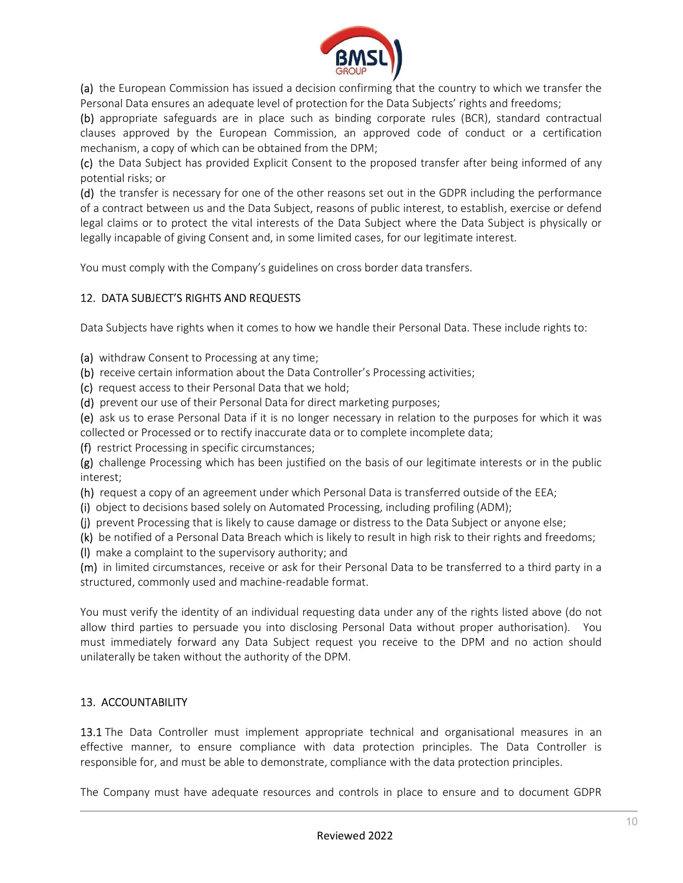

(a) the European Commission has issued a decision confirming that the country to which we transfer the Personal Data ensures an adequate level of protection for the Data Subjects' rights and freedoms;

(b) appropriate safeguards are in place such as binding corporate rules (BCR), standard contractual clauses approved by the European Commission, an approved code of conduct or a certification mechanism, a copy of which can be obtained from the DPM;

(c) the Data Subject has provided Explicit Consent to the proposed transfer after being informed of any potential risks; or

(d) the transfer is necessary for one of the other reasons set out in the GDPR including the performance of a contract between us and the Data Subject, reasons of public interest, to establish, exercise or defend legal claims or to protect the vital interests of the Data Subject where the Data Subject is physically or legally incapable of giving Consent and, in some limited cases, for our legitimate interest.

You must comply with the Company's guidelines on cross border data transfers.

# 12. DATA SUBJECT'S RIGHTS AND REQUESTS

Data Subjects have rights when it comes to how we handle their Personal Data. These include rights to:

(a) withdraw Consent to Processing at any time;

(b) receive certain information about the Data Controller's Processing activities;

(c) request access to their Personal Data that we hold;

(d) prevent our use of their Personal Data for direct marketing purposes;

(e) ask us to erase Personal Data if it is no longer necessary in relation to the purposes for which it was collected or Processed or to rectify inaccurate data or to complete incomplete data;

(f) restrict Processing in specific circumstances;

(g) challenge Processing which has been justified on the basis of our legitimate interests or in the public interest;

(h) request a copy of an agreement under which Personal Data is transferred outside of the EEA;

(i) object to decisions based solely on Automated Processing, including profiling (ADM);

(j) prevent Processing that is likely to cause damage or distress to the Data Subject or anyone else;

(k) be notified of a Personal Data Breach which is likely to result in high risk to their rights and freedoms;

(l) make a complaint to the supervisory authority; and

(m) in limited circumstances, receive or ask for their Personal Data to be transferred to a third party in a structured, commonly used and machine-readable format.

You must verify the identity of an individual requesting data under any of the rights listed above (do not allow third parties to persuade you into disclosing Personal Data without proper authorisation). You must immediately forward any Data Subject request you receive to the DPM and no action should unilaterally be taken without the authority of the DPM.

# 13. ACCOUNTABILITY

13.1 The Data Controller must implement appropriate technical and organisational measures in an effective manner, to ensure compliance with data protection principles. The Data Controller is responsible for, and must be able to demonstrate, compliance with the data protection principles.

The Company must have adequate resources and controls in place to ensure and to document GDPR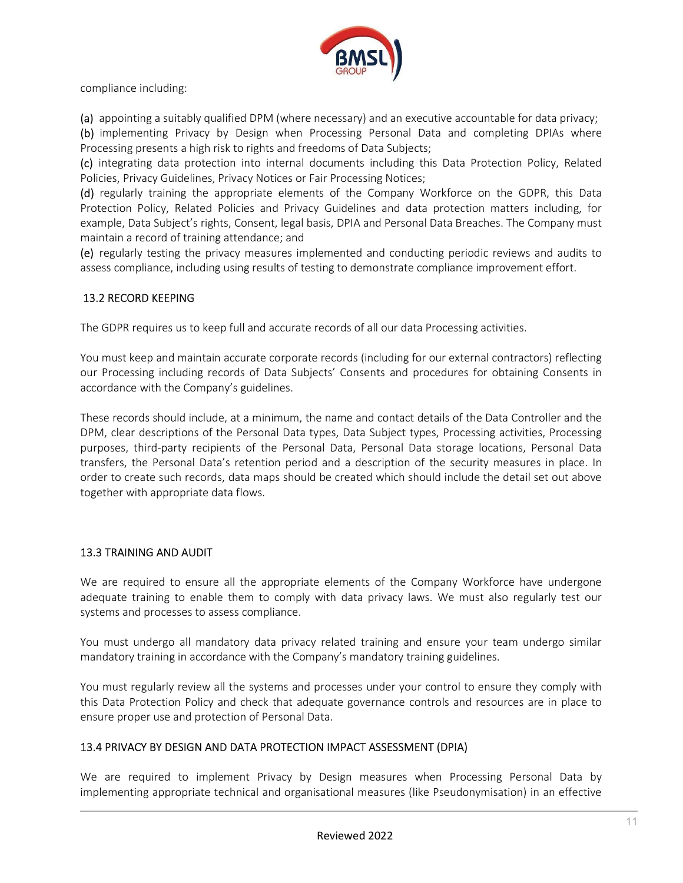

compliance including:

(a) appointing a suitably qualified DPM (where necessary) and an executive accountable for data privacy;

(b) implementing Privacy by Design when Processing Personal Data and completing DPIAs where Processing presents a high risk to rights and freedoms of Data Subjects;

(c) integrating data protection into internal documents including this Data Protection Policy, Related Policies, Privacy Guidelines, Privacy Notices or Fair Processing Notices;

(d) regularly training the appropriate elements of the Company Workforce on the GDPR, this Data Protection Policy, Related Policies and Privacy Guidelines and data protection matters including, for example, Data Subject's rights, Consent, legal basis, DPIA and Personal Data Breaches. The Company must maintain a record of training attendance; and

(e) regularly testing the privacy measures implemented and conducting periodic reviews and audits to assess compliance, including using results of testing to demonstrate compliance improvement effort.

#### 13.2 RECORD KEEPING

The GDPR requires us to keep full and accurate records of all our data Processing activities.

You must keep and maintain accurate corporate records (including for our external contractors) reflecting our Processing including records of Data Subjects' Consents and procedures for obtaining Consents in accordance with the Company's guidelines.

These records should include, at a minimum, the name and contact details of the Data Controller and the DPM, clear descriptions of the Personal Data types, Data Subject types, Processing activities, Processing purposes, third-party recipients of the Personal Data, Personal Data storage locations, Personal Data transfers, the Personal Data's retention period and a description of the security measures in place. In order to create such records, data maps should be created which should include the detail set out above together with appropriate data flows.

#### 13.3 TRAINING AND AUDIT

We are required to ensure all the appropriate elements of the Company Workforce have undergone adequate training to enable them to comply with data privacy laws. We must also regularly test our systems and processes to assess compliance.

You must undergo all mandatory data privacy related training and ensure your team undergo similar mandatory training in accordance with the Company's mandatory training guidelines.

You must regularly review all the systems and processes under your control to ensure they comply with this Data Protection Policy and check that adequate governance controls and resources are in place to ensure proper use and protection of Personal Data.

#### 13.4 PRIVACY BY DESIGN AND DATA PROTECTION IMPACT ASSESSMENT (DPIA)

We are required to implement Privacy by Design measures when Processing Personal Data by implementing appropriate technical and organisational measures (like Pseudonymisation) in an effective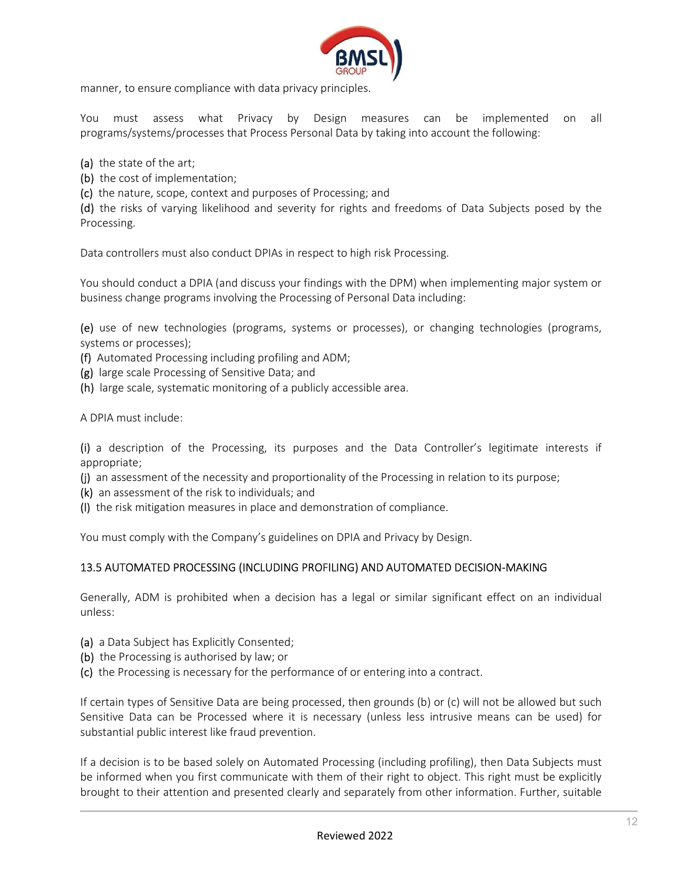

manner, to ensure compliance with data privacy principles.

You must assess what Privacy by Design measures can be implemented on all programs/systems/processes that Process Personal Data by taking into account the following:

(a) the state of the art;

(b) the cost of implementation;

(c) the nature, scope, context and purposes of Processing; and

(d) the risks of varying likelihood and severity for rights and freedoms of Data Subjects posed by the Processing.

Data controllers must also conduct DPIAs in respect to high risk Processing.

You should conduct a DPIA (and discuss your findings with the DPM) when implementing major system or business change programs involving the Processing of Personal Data including:

(e) use of new technologies (programs, systems or processes), or changing technologies (programs, systems or processes);

(f) Automated Processing including profiling and ADM;

(g) large scale Processing of Sensitive Data; and

(h) large scale, systematic monitoring of a publicly accessible area.

A DPIA must include:

(i) a description of the Processing, its purposes and the Data Controller's legitimate interests if appropriate;

(j) an assessment of the necessity and proportionality of the Processing in relation to its purpose;

- (k) an assessment of the risk to individuals; and
- (l) the risk mitigation measures in place and demonstration of compliance.

You must comply with the Company's guidelines on DPIA and Privacy by Design.

# 13.5 AUTOMATED PROCESSING (INCLUDING PROFILING) AND AUTOMATED DECISION-MAKING

Generally, ADM is prohibited when a decision has a legal or similar significant effect on an individual unless:

- (a) a Data Subject has Explicitly Consented;
- (b) the Processing is authorised by law; or
- (c) the Processing is necessary for the performance of or entering into a contract.

If certain types of Sensitive Data are being processed, then grounds (b) or (c) will not be allowed but such Sensitive Data can be Processed where it is necessary (unless less intrusive means can be used) for substantial public interest like fraud prevention.

If a decision is to be based solely on Automated Processing (including profiling), then Data Subjects must be informed when you first communicate with them of their right to object. This right must be explicitly brought to their attention and presented clearly and separately from other information. Further, suitable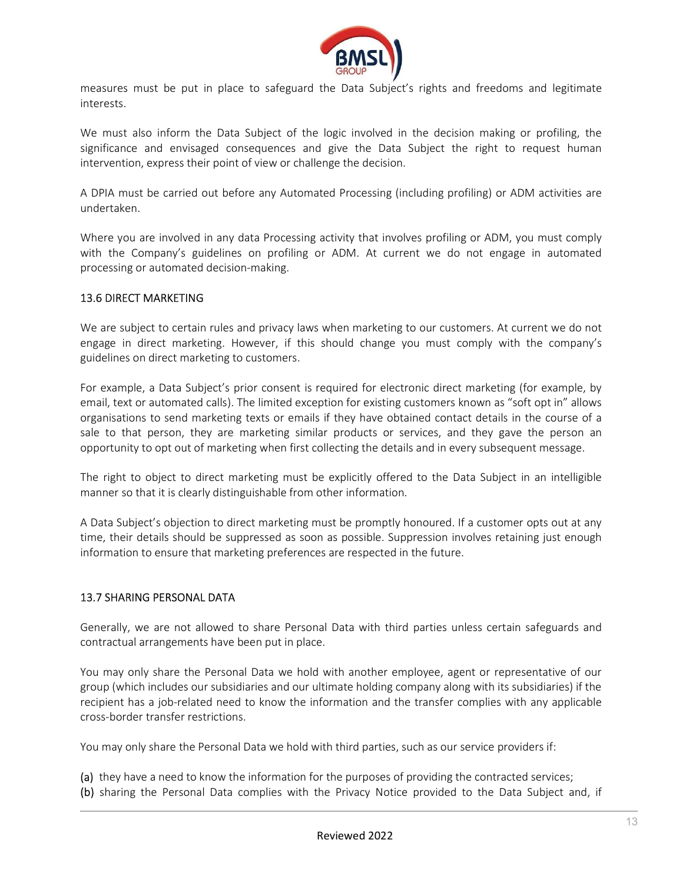

measures must be put in place to safeguard the Data Subject's rights and freedoms and legitimate interests.

We must also inform the Data Subject of the logic involved in the decision making or profiling, the significance and envisaged consequences and give the Data Subject the right to request human intervention, express their point of view or challenge the decision.

A DPIA must be carried out before any Automated Processing (including profiling) or ADM activities are undertaken.

Where you are involved in any data Processing activity that involves profiling or ADM, you must comply with the Company's guidelines on profiling or ADM. At current we do not engage in automated processing or automated decision-making.

#### 13.6 DIRECT MARKETING

We are subject to certain rules and privacy laws when marketing to our customers. At current we do not engage in direct marketing. However, if this should change you must comply with the company's guidelines on direct marketing to customers.

For example, a Data Subject's prior consent is required for electronic direct marketing (for example, by email, text or automated calls). The limited exception for existing customers known as "soft opt in" allows organisations to send marketing texts or emails if they have obtained contact details in the course of a sale to that person, they are marketing similar products or services, and they gave the person an opportunity to opt out of marketing when first collecting the details and in every subsequent message.

The right to object to direct marketing must be explicitly offered to the Data Subject in an intelligible manner so that it is clearly distinguishable from other information.

A Data Subject's objection to direct marketing must be promptly honoured. If a customer opts out at any time, their details should be suppressed as soon as possible. Suppression involves retaining just enough information to ensure that marketing preferences are respected in the future.

#### 13.7 SHARING PERSONAL DATA

Generally, we are not allowed to share Personal Data with third parties unless certain safeguards and contractual arrangements have been put in place.

You may only share the Personal Data we hold with another employee, agent or representative of our group (which includes our subsidiaries and our ultimate holding company along with its subsidiaries) if the recipient has a job-related need to know the information and the transfer complies with any applicable cross-border transfer restrictions.

You may only share the Personal Data we hold with third parties, such as our service providers if:

(a) they have a need to know the information for the purposes of providing the contracted services; (b) sharing the Personal Data complies with the Privacy Notice provided to the Data Subject and, if